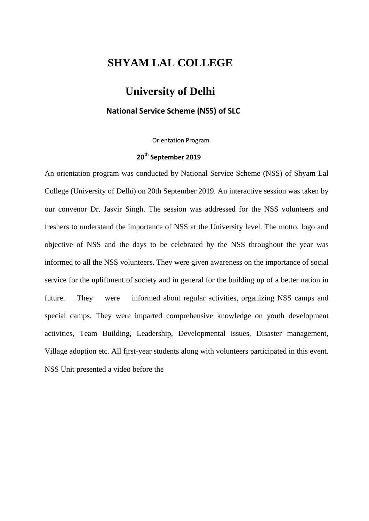## **SHYAM LAL COLLEGE**

## **University of Delhi**

## **National Service Scheme (NSS) of SLC**

Orientation Program

## **20th September 2019**

An orientation program was conducted by National Service Scheme (NSS) of Shyam Lal College (University of Delhi) on 20th September 2019. An interactive session was taken by our convenor Dr. Jasvir Singh. The session was addressed for the NSS volunteers and freshers to understand the importance of NSS at the University level. The motto, logo and objective of NSS and the days to be celebrated by the NSS throughout the year was informed to all the NSS volunteers. They were given awareness on the importance of social service for the upliftment of society and in general for the building up of a better nation in future. They were informed about regular activities, organizing NSS camps and special camps. They were imparted comprehensive knowledge on youth development activities, Team Building, Leadership, Developmental issues, Disaster management, Village adoption etc. All first-year students along with volunteers participated in this event. NSS Unit presented a video before the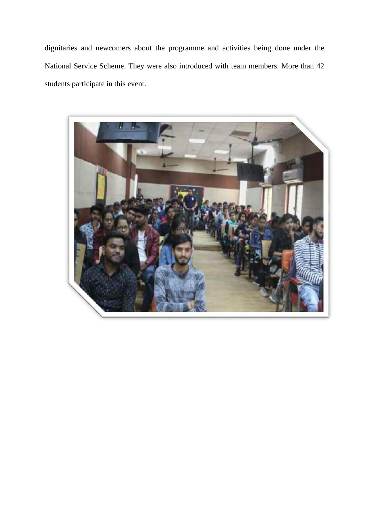dignitaries and newcomers about the programme and activities being done under the National Service Scheme. They were also introduced with team members. More than 42 students participate in this event.